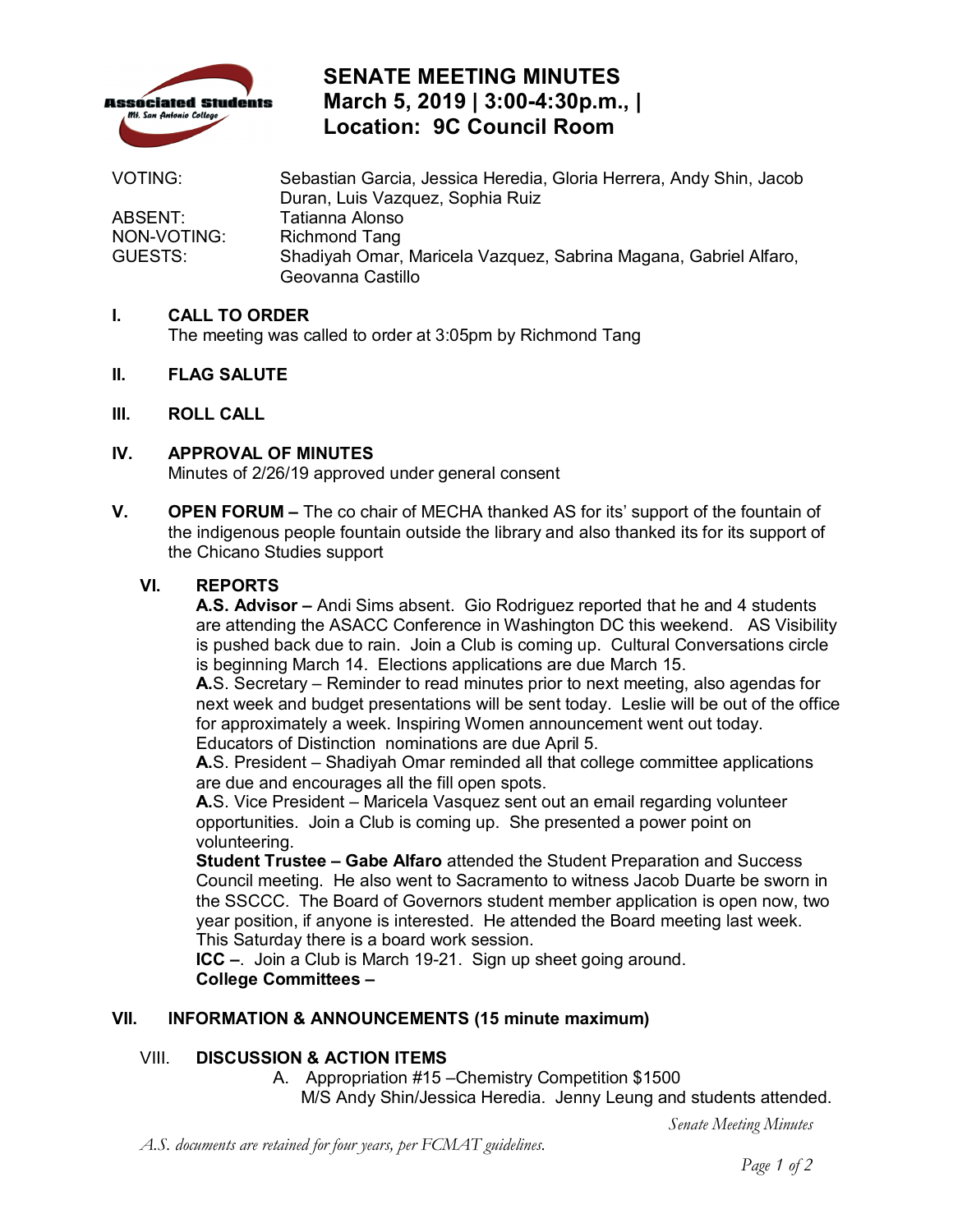

# **SENATE MEETING MINUTES March 5, 2019 | 3:00-4:30p.m., | Location: 9C Council Room**

| <b>VOTING:</b> | Sebastian Garcia, Jessica Heredia, Gloria Herrera, Andy Shin, Jacob |
|----------------|---------------------------------------------------------------------|
|                | Duran, Luis Vazquez, Sophia Ruiz                                    |
| ABSENT:        | Tatianna Alonso                                                     |
| NON-VOTING:    | <b>Richmond Tang</b>                                                |
| GUESTS:        | Shadiyah Omar, Maricela Vazquez, Sabrina Magana, Gabriel Alfaro,    |
|                | Geovanna Castillo                                                   |

## **I. CALL TO ORDER**

The meeting was called to order at 3:05pm by Richmond Tang

- **II. FLAG SALUTE**
- **III. ROLL CALL**
- Minutes of 2/26/19 approved under general consent **IV. APPROVAL OF MINUTES**
- **V. OPEN FORUM** The co chair of MECHA thanked AS for its' support of the fountain of the indigenous people fountain outside the library and also thanked its for its support of the Chicano Studies support

#### **VI. REPORTS**

 are attending the ASACC Conference in Washington DC this weekend. AS Visibility is beginning March 14. Elections applications are due March 15. **A.S. Advisor –** Andi Sims absent. Gio Rodriguez reported that he and 4 students is pushed back due to rain. Join a Club is coming up. Cultural Conversations circle

 next week and budget presentations will be sent today. Leslie will be out of the office for approximately a week. Inspiring Women announcement went out today.<br>Educators of Distinction nominations are due April 5. Educators of Distinction nominations are due April 5. **A.**S. Secretary – Reminder to read minutes prior to next meeting, also agendas for

 are due and encourages all the fill open spots. **A.**S. President – Shadiyah Omar reminded all that college committee applications

 **A.**S. Vice President – Maricela Vasquez sent out an email regarding volunteer volunteering. opportunities. Join a Club is coming up. She presented a power point on

 year position, if anyone is interested. He attended the Board meeting last week. This Saturday there is a board work session. **Student Trustee – Gabe Alfaro** attended the Student Preparation and Success Council meeting. He also went to Sacramento to witness Jacob Duarte be sworn in the SSCCC. The Board of Governors student member application is open now, two

 **ICC –**. Join a Club is March 19-21. Sign up sheet going around. **College Committees -**

### **VII. INFORMATION & ANNOUNCEMENTS (15 minute maximum)**

### VIII. **DISCUSSION & ACTION ITEMS**

 A. Appropriation #15 –Chemistry Competition \$1500 M/S Andy Shin/Jessica Heredia. Jenny Leung and students attended.

*Senate Meeting Minutes* 

*A.S. documents are retained for four years, per FCMAT guidelines.*